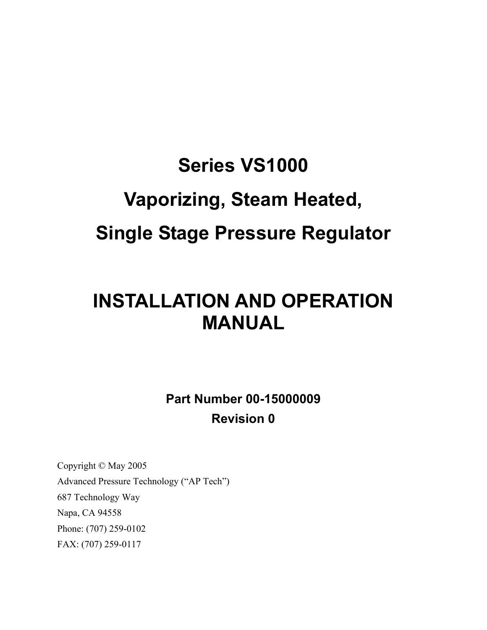# **Series VS1000 Vaporizing, Steam Heated, Single Stage Pressure Regulator**

# **INSTALLATION AND OPERATION MANUAL**

**Part Number 00-15000009 Revision 0** 

Copyright © May 2005 Advanced Pressure Technology ("AP Tech") 687 Technology Way Napa, CA 94558 Phone: (707) 259-0102 FAX: (707) 259-0117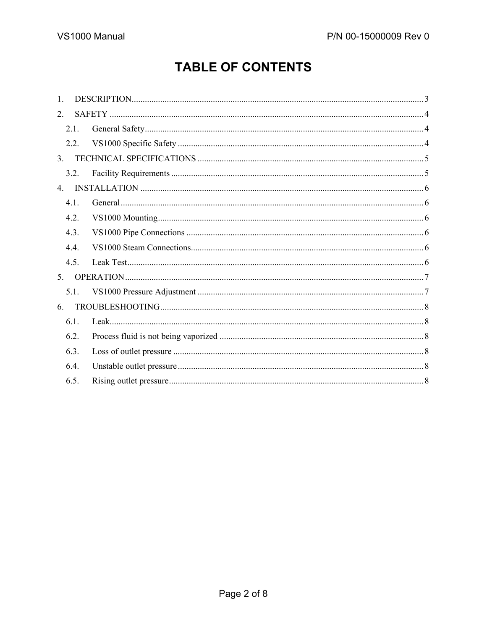# **TABLE OF CONTENTS**

| $\mathbf{1}$   |  |  |
|----------------|--|--|
| $\mathfrak{L}$ |  |  |
| 2.1.           |  |  |
| 2.2.           |  |  |
| 3 <sub>1</sub> |  |  |
| 3.2.           |  |  |
| 4.             |  |  |
| 4.1.           |  |  |
| 4.2.           |  |  |
| 4.3.           |  |  |
| 4.4.           |  |  |
| 4.5.           |  |  |
| 5.             |  |  |
| 5.1.           |  |  |
| 6.             |  |  |
| 6.1.           |  |  |
| 6.2.           |  |  |
| 6.3.           |  |  |
| 6.4.           |  |  |
| 6.5.           |  |  |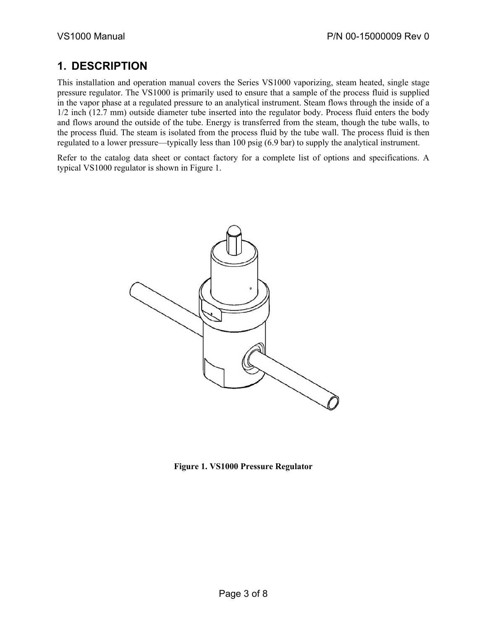# **1. DESCRIPTION**

This installation and operation manual covers the Series VS1000 vaporizing, steam heated, single stage pressure regulator. The VS1000 is primarily used to ensure that a sample of the process fluid is supplied in the vapor phase at a regulated pressure to an analytical instrument. Steam flows through the inside of a 1/2 inch (12.7 mm) outside diameter tube inserted into the regulator body. Process fluid enters the body and flows around the outside of the tube. Energy is transferred from the steam, though the tube walls, to the process fluid. The steam is isolated from the process fluid by the tube wall. The process fluid is then regulated to a lower pressure—typically less than 100 psig (6.9 bar) to supply the analytical instrument.

Refer to the catalog data sheet or contact factory for a complete list of options and specifications. A typical VS1000 regulator is shown in Figure 1.



**Figure 1. VS1000 Pressure Regulator**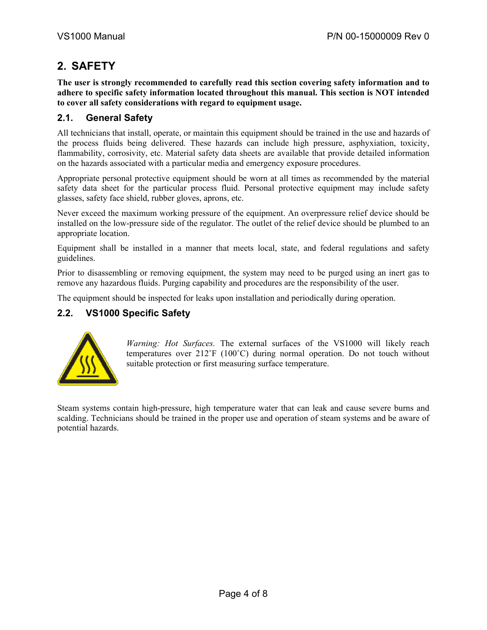# **2. SAFETY**

**The user is strongly recommended to carefully read this section covering safety information and to adhere to specific safety information located throughout this manual. This section is NOT intended to cover all safety considerations with regard to equipment usage.** 

#### **2.1. General Safety**

All technicians that install, operate, or maintain this equipment should be trained in the use and hazards of the process fluids being delivered. These hazards can include high pressure, asphyxiation, toxicity, flammability, corrosivity, etc. Material safety data sheets are available that provide detailed information on the hazards associated with a particular media and emergency exposure procedures.

Appropriate personal protective equipment should be worn at all times as recommended by the material safety data sheet for the particular process fluid. Personal protective equipment may include safety glasses, safety face shield, rubber gloves, aprons, etc.

Never exceed the maximum working pressure of the equipment. An overpressure relief device should be installed on the low-pressure side of the regulator. The outlet of the relief device should be plumbed to an appropriate location.

Equipment shall be installed in a manner that meets local, state, and federal regulations and safety guidelines.

Prior to disassembling or removing equipment, the system may need to be purged using an inert gas to remove any hazardous fluids. Purging capability and procedures are the responsibility of the user.

The equipment should be inspected for leaks upon installation and periodically during operation.

#### **2.2. VS1000 Specific Safety**



*Warning: Hot Surfaces.* The external surfaces of the VS1000 will likely reach temperatures over 212˚F (100˚C) during normal operation. Do not touch without suitable protection or first measuring surface temperature.

Steam systems contain high-pressure, high temperature water that can leak and cause severe burns and scalding. Technicians should be trained in the proper use and operation of steam systems and be aware of potential hazards.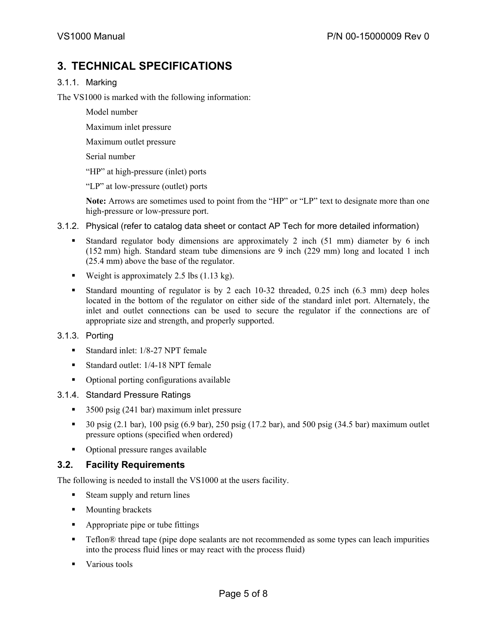# **3. TECHNICAL SPECIFICATIONS**

#### 3.1.1. Marking

The VS1000 is marked with the following information:

- Model number
- Maximum inlet pressure
- Maximum outlet pressure
- Serial number
- "HP" at high-pressure (inlet) ports
- "LP" at low-pressure (outlet) ports

**Note:** Arrows are sometimes used to point from the "HP" or "LP" text to designate more than one high-pressure or low-pressure port.

- 3.1.2. Physical (refer to catalog data sheet or contact AP Tech for more detailed information)
	- Standard regulator body dimensions are approximately 2 inch (51 mm) diameter by 6 inch (152 mm) high. Standard steam tube dimensions are 9 inch (229 mm) long and located 1 inch (25.4 mm) above the base of the regulator.
	- Weight is approximately 2.5 lbs  $(1.13 \text{ kg})$ .
	- Standard mounting of regulator is by 2 each 10-32 threaded, 0.25 inch (6.3 mm) deep holes located in the bottom of the regulator on either side of the standard inlet port. Alternately, the inlet and outlet connections can be used to secure the regulator if the connections are of appropriate size and strength, and properly supported.
- 3.1.3. Porting
	- Standard inlet: 1/8-27 NPT female
	- Standard outlet: 1/4-18 NPT female
	- Optional porting configurations available
- 3.1.4. Standard Pressure Ratings
	- 3500 psig (241 bar) maximum inlet pressure
	- $\bullet$  30 psig (2.1 bar), 100 psig (6.9 bar), 250 psig (17.2 bar), and 500 psig (34.5 bar) maximum outlet pressure options (specified when ordered)
	- Optional pressure ranges available

#### **3.2. Facility Requirements**

The following is needed to install the VS1000 at the users facility.

- Steam supply and return lines
- **Mounting brackets**
- **•** Appropriate pipe or tube fittings
- Teflon<sup>®</sup> thread tape (pipe dope sealants are not recommended as some types can leach impurities into the process fluid lines or may react with the process fluid)
- **Various tools**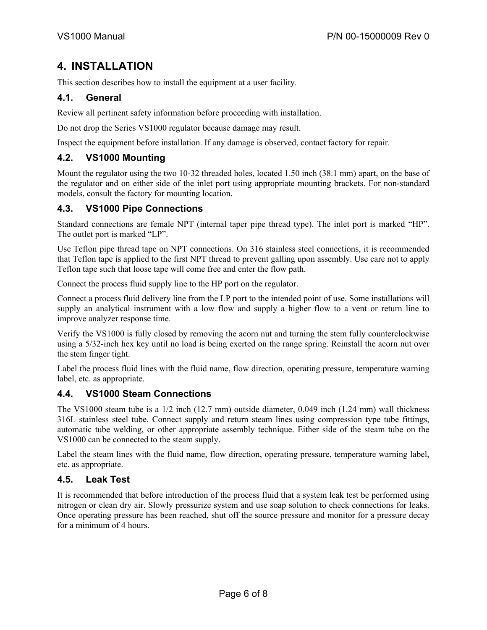# **4. INSTALLATION**

This section describes how to install the equipment at a user facility.

#### **4.1. General**

Review all pertinent safety information before proceeding with installation.

Do not drop the Series VS1000 regulator because damage may result.

Inspect the equipment before installation. If any damage is observed, contact factory for repair.

#### **4.2. VS1000 Mounting**

Mount the regulator using the two 10-32 threaded holes, located 1.50 inch (38.1 mm) apart, on the base of the regulator and on either side of the inlet port using appropriate mounting brackets. For non-standard models, consult the factory for mounting location.

#### **4.3. VS1000 Pipe Connections**

Standard connections are female NPT (internal taper pipe thread type). The inlet port is marked "HP". The outlet port is marked "LP".

Use Teflon pipe thread tape on NPT connections. On 316 stainless steel connections, it is recommended that Teflon tape is applied to the first NPT thread to prevent galling upon assembly. Use care not to apply Teflon tape such that loose tape will come free and enter the flow path.

Connect the process fluid supply line to the HP port on the regulator.

Connect a process fluid delivery line from the LP port to the intended point of use. Some installations will supply an analytical instrument with a low flow and supply a higher flow to a vent or return line to improve analyzer response time.

Verify the VS1000 is fully closed by removing the acorn nut and turning the stem fully counterclockwise using a 5/32-inch hex key until no load is being exerted on the range spring. Reinstall the acorn nut over the stem finger tight.

Label the process fluid lines with the fluid name, flow direction, operating pressure, temperature warning label, etc. as appropriate.

#### **4.4. VS1000 Steam Connections**

The VS1000 steam tube is a 1/2 inch (12.7 mm) outside diameter, 0.049 inch (1.24 mm) wall thickness 316L stainless steel tube. Connect supply and return steam lines using compression type tube fittings, automatic tube welding, or other appropriate assembly technique. Either side of the steam tube on the VS1000 can be connected to the steam supply.

Label the steam lines with the fluid name, flow direction, operating pressure, temperature warning label, etc. as appropriate.

#### **4.5. Leak Test**

It is recommended that before introduction of the process fluid that a system leak test be performed using nitrogen or clean dry air. Slowly pressurize system and use soap solution to check connections for leaks. Once operating pressure has been reached, shut off the source pressure and monitor for a pressure decay for a minimum of 4 hours.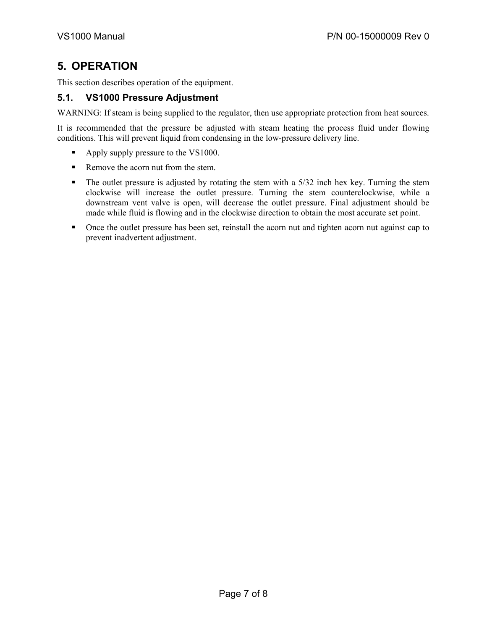# **5. OPERATION**

This section describes operation of the equipment.

#### **5.1. VS1000 Pressure Adjustment**

WARNING: If steam is being supplied to the regulator, then use appropriate protection from heat sources.

It is recommended that the pressure be adjusted with steam heating the process fluid under flowing conditions. This will prevent liquid from condensing in the low-pressure delivery line.

- Apply supply pressure to the VS1000.
- Remove the acorn nut from the stem.
- The outlet pressure is adjusted by rotating the stem with a 5/32 inch hex key. Turning the stem clockwise will increase the outlet pressure. Turning the stem counterclockwise, while a downstream vent valve is open, will decrease the outlet pressure. Final adjustment should be made while fluid is flowing and in the clockwise direction to obtain the most accurate set point.
- Once the outlet pressure has been set, reinstall the acorn nut and tighten acorn nut against cap to prevent inadvertent adjustment.